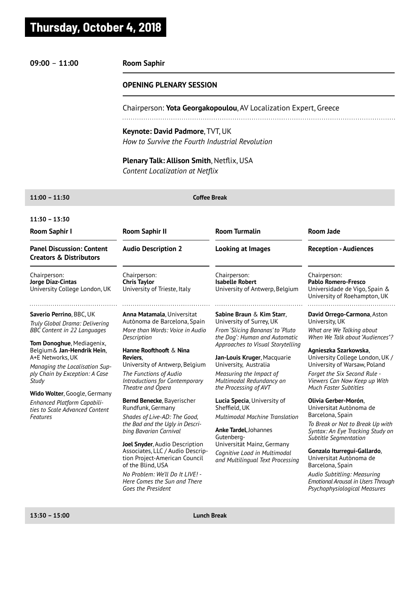# **Thursday, October 4, 2018**

## **09:00** – **11:00**

### **Room Saphir**

#### **OPENING PLENARY SESSION**

Chairperson: **Yota Georgakopoulou**, AV Localization Expert, Greece

**Keynote: David Padmore**, TVT, UK *How to Survive the Fourth Industrial Revolution*

**Plenary Talk: Allison Smith**, Netflix, USA *Content Localization at Netflix*

#### **11:00 – 11:30**

**Coffee Break**

| $11:30 - 13:30$                                                                                                                                  |                                                                                                                          |                                                                                                                      |                                                                                                                          |
|--------------------------------------------------------------------------------------------------------------------------------------------------|--------------------------------------------------------------------------------------------------------------------------|----------------------------------------------------------------------------------------------------------------------|--------------------------------------------------------------------------------------------------------------------------|
| <b>Room Saphir I</b>                                                                                                                             | <b>Room Saphir II</b>                                                                                                    | <b>Room Turmalin</b>                                                                                                 | <b>Room Jade</b>                                                                                                         |
| <b>Panel Discussion: Content</b><br><b>Creators &amp; Distributors</b>                                                                           | <b>Audio Description 2</b>                                                                                               | <b>Looking at Images</b>                                                                                             | <b>Reception - Audiences</b>                                                                                             |
| Chairperson:<br>Jorge Díaz-Cintas<br>University College London, UK                                                                               | Chairperson:<br><b>Chris Taylor</b><br>University of Trieste, Italy                                                      | Chairperson:<br><b>Isabelle Robert</b><br>University of Antwerp, Belgium                                             | Chairperson:<br><b>Pablo Romero-Fresco</b><br>Universidade de Vigo, Spain &<br>University of Roehampton, UK              |
| Saverio Perrino, BBC, UK<br>Truly Global Drama: Delivering                                                                                       | Anna Matamala, Universitat<br>Autònoma de Barcelona, Spain                                                               | Sabine Braun & Kim Starr,<br>University of Surrey, UK                                                                | David Orrego-Carmona, Aston<br>University, UK                                                                            |
| <b>BBC Content in 22 Languages</b>                                                                                                               | More than Words: Voice in Audio<br>Description                                                                           | From 'Slicing Bananas' to 'Pluto<br>the Dog': Human and Automatic                                                    | What are We Talking about<br>When We Talk about "Audiences"?                                                             |
| Tom Donoghue, Mediagenix,<br>Belgium & Jan-Hendrik Hein,<br>A+E Networks, UK<br>Managing the Localisation Sup-<br>ply Chain by Exception: A Case | Hanne Roofthooft & Nina<br>Reviers.<br>University of Antwerp, Belgium<br>The Functions of Audio                          | Approaches to Visual Storytelling<br>Jan-Louis Kruger, Macquarie<br>University, Australia<br>Measuring the Impact of | Agnieszka Szarkowska,<br>University College London, UK /<br>University of Warsaw, Poland<br>Forget the Six Second Rule - |
| Study                                                                                                                                            | Introductions for Contemporary<br>Theatre and Opera                                                                      | Multimodal Redundancy on<br>the Processing of AVT                                                                    | Viewers Can Now Keep up With<br><b>Much Faster Subtitles</b>                                                             |
| Wido Wolter, Google, Germany<br>Enhanced Platform Capabili-<br>ties to Scale Advanced Content<br>Features                                        | Bernd Benecke, Bayerischer<br>Rundfunk, Germany<br>Shades of Live-AD: The Good,                                          | Lucia Specia, University of<br>Sheffield, UK<br><b>Multimodal Machine Translation</b>                                | Olivia Gerber-Morón,<br>Universitat Autònoma de<br>Barcelona, Spain                                                      |
|                                                                                                                                                  | the Bad and the Ugly in Descri-<br>bing Bavarian Carnival                                                                | Anke Tardel, Johannes<br>Gutenberg-                                                                                  | To Break or Not to Break Up with<br>Syntax: An Eye Tracking Study on<br>Subtitle Segmentation                            |
|                                                                                                                                                  | Joel Snyder, Audio Description<br>Associates, LLC / Audio Descrip-<br>tion Project-American Council<br>of the Blind, USA | Universität Mainz, Germany<br>Cognitive Load in Multimodal<br>and Multilingual Text Processing                       | Gonzalo Iturregui-Gallardo,<br>Universitat Autònoma de<br>Barcelona, Spain                                               |
|                                                                                                                                                  | No Problem: We'll Do It LIVE! -<br>Here Comes the Sun and There<br>Goes the President                                    |                                                                                                                      | Audio Subtitling: Measuring<br><b>Emotional Arousal in Users Through</b><br>Psychophysiological Measures                 |
|                                                                                                                                                  |                                                                                                                          |                                                                                                                      |                                                                                                                          |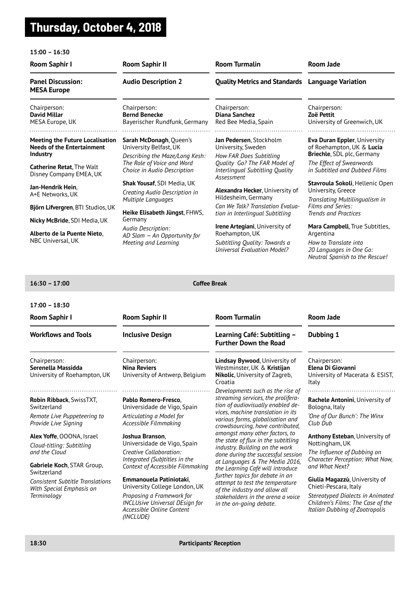## **Thursday, October 4, 2018**

#### **15:00 – 16:30 Room Saphir I Room Saphir II Room Turmalin Room Jade Panel Discussion: Audio Description 2 Quality Metrics and Standards Language Variation MESA Europe** Chairperson: Chairperson: Chairperson: Chairperson: **David Millar Bernd Benecke Diana Sanchez Zoë Pettit** MESA Europe, UK Bayerischer Rundfunk, Germany Red Bee Media, Spain University of Greenwich, UK **Meeting the Future Localisation Sarah McDonagh**, Queen's **Jan Pedersen**, Stockholm **Eva Duran Eppler**, University **Needs of the Entertainment**  University Belfast, UK University, Sweden of Roehampton, UK & **Lucia Industry Briechle**, SDL plc, Germany *Describing the Maze/Long Kesh: How FAR Does Subtitling The Role of Voice and Word Quality Go? The FAR Model of The Effect of Swearwords*  **Catherine Retat**, The Walt *Choice in Audio Description in Subtitled and Dubbed Films Interlingual Subtitling Quality*  Disney Company EMEA, UK *Assessment*  **Shak Yousaf**, SDI Media, UK **Stavroula Sokoli**, Hellenic Open **Jan-Hendrik Hein**, **Alexandra Hecker**, University of University, Greece *Creating Audio Description in*  A+E Networks, UK Hildesheim, Germany *Multiple Languages Translating Multilingualism in Can We Talk? Translation Evalua-Films and Series:*  **Björn Lifvergren**, BTI Studios, UK **Heike Elisabeth Jüngst**, FHWS, *tion in Interlingual Subtitling Trends and Practices* Germany **Nicky McBride**, SDI Media, UK **Irene Artegiani**, University of **Mara Campbell**, True Subtitles, *Audio Description:*  **Alberto de la Puente Nieto**, Roehampton, UK Argentina *AD Slam — An Opportunity for*  NBC Universal, UK *How to Translate into Meeting and Learning Subtitling Quality: Towards a Universal Evaluation Model? 20 Languages in One Go: Neutral Spanish to the Rescue!*

#### **16:30 – 17:00**

**Coffee Break**

#### **17:00 – 18:30**

**18:30** 

| Room Saphir I                                                                                                                                                                                                                                                                                                | <b>Room Saphir II</b>                                                                                                                                                                                                                                                                                                                                                                                                                  | <b>Room Turmalin</b>                                                                                                                                                                                                                                                                                                                                                                                                                                                                                                                                                                                                   | <b>Room Jade</b>                                                                                                                                                                                                                                                                                                                                                                                                       |
|--------------------------------------------------------------------------------------------------------------------------------------------------------------------------------------------------------------------------------------------------------------------------------------------------------------|----------------------------------------------------------------------------------------------------------------------------------------------------------------------------------------------------------------------------------------------------------------------------------------------------------------------------------------------------------------------------------------------------------------------------------------|------------------------------------------------------------------------------------------------------------------------------------------------------------------------------------------------------------------------------------------------------------------------------------------------------------------------------------------------------------------------------------------------------------------------------------------------------------------------------------------------------------------------------------------------------------------------------------------------------------------------|------------------------------------------------------------------------------------------------------------------------------------------------------------------------------------------------------------------------------------------------------------------------------------------------------------------------------------------------------------------------------------------------------------------------|
| <b>Workflows and Tools</b>                                                                                                                                                                                                                                                                                   | <b>Inclusive Design</b>                                                                                                                                                                                                                                                                                                                                                                                                                | Learning Café: Subtitling -<br><b>Further Down the Road</b>                                                                                                                                                                                                                                                                                                                                                                                                                                                                                                                                                            | Dubbing 1                                                                                                                                                                                                                                                                                                                                                                                                              |
| Chairperson:<br>Serenella Massidda<br>University of Roehampton, UK                                                                                                                                                                                                                                           | Chairperson:<br><b>Nina Reviers</b><br>University of Antwerp, Belgium                                                                                                                                                                                                                                                                                                                                                                  | <b>Lindsay Bywood, University of</b><br>Westminster, UK & Kristijan<br>Nikolic, University of Zagreb,<br>Croatia                                                                                                                                                                                                                                                                                                                                                                                                                                                                                                       | Chairperson:<br>Elena Di Giovanni<br>University of Macerata & ESIST,<br>Italy                                                                                                                                                                                                                                                                                                                                          |
| Robin Ribback, SwissTXT,<br>Switzerland<br>Remote Live Puppeteering to<br>Provide Live Signing<br>Alex Yoffe, OOONA, Israel<br>Cloud-titling: Subtitling<br>and the Cloud<br>Gabriele Koch, STAR Group,<br>Switzerland<br><b>Consistent Subtitle Translations</b><br>With Special Emphasis on<br>Terminology | Pablo Romero-Fresco.<br>Universidade de Vigo, Spain<br>Articulating a Model for<br>Accessible Filmmaking<br>Joshua Branson,<br>Universidade de Vigo, Spain<br>Creative Collaboration:<br>Integrated (Sub)titles in the<br>Context of Accessible Filmmaking<br>Emmanouela Patiniotaki.<br>University College London, UK<br>Proposing a Framework for<br><b>INCLUsive Universal DEsign for</b><br>Accessible Online Content<br>(INCLUDE) | Developments such as the rise of<br>streaming services, the prolifera-<br>tion of audiovisually enabled de-<br>vices, machine translation in its<br>various forms, globalisation and<br>crowdsourcing, have contributed,<br>amongst many other factors, to<br>the state of flux in the subtitling<br>industry. Building on the work<br>done during the successful session<br>at Languages & The Media 2016,<br>the Learning Café will introduce<br>further topics for debate in an<br>attempt to test the temperature<br>of the industry and allow all<br>stakeholders in the arena a voice<br>in the on-going debate. | .<br>Rachele Antonini, University of<br>Bologna, Italy<br>'One of Our Bunch': The Winx<br>Club Dub<br><b>Anthony Esteban, University of</b><br>Nottingham, UK<br>The Influence of Dubbing on<br>Character Perception: What Now,<br>and What Next?<br>Giulia Magazzù, University of<br>Chieti-Pescara, Italy<br>Stereotyped Dialects in Animated<br>Children's Films: The Case of the<br>Italian Dubbing of Zootropolis |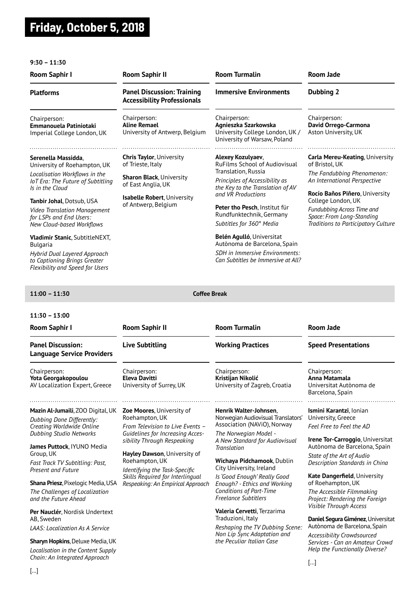# **Friday, October 5, 2018**

#### **9:30 – 11:30**

| <b>Room Saphir I</b>                                                                                                                                        | <b>Room Saphir II</b>                                                   | <b>Room Turmalin</b>                                                                                                                            | <b>Room Jade</b>                                                                                                                                              |
|-------------------------------------------------------------------------------------------------------------------------------------------------------------|-------------------------------------------------------------------------|-------------------------------------------------------------------------------------------------------------------------------------------------|---------------------------------------------------------------------------------------------------------------------------------------------------------------|
| <b>Platforms</b>                                                                                                                                            | <b>Panel Discussion: Training</b><br><b>Accessibility Professionals</b> | <b>Immersive Environments</b>                                                                                                                   | Dubbing 2                                                                                                                                                     |
| Chairperson:<br>Emmanouela Patiniotaki<br>Imperial College London, UK                                                                                       | Chairperson:<br><b>Aline Remael</b><br>University of Antwerp, Belgium   | Chairperson:<br>Agnieszka Szarkowska<br>University College London, UK /<br>University of Warsaw, Poland                                         | Chairperson:<br>David Orrego-Carmona<br>Aston University, UK                                                                                                  |
| Serenella Massidda,<br>University of Roehampton, UK                                                                                                         | <b>Chris Taylor, University</b><br>of Trieste, Italy                    | Alexey Kozulyaev,<br>RuFilms School of Audiovisual                                                                                              | <b>Carla Mereu-Keating, University</b><br>of Bristol. UK                                                                                                      |
| Localisation Workflows in the<br><b>IoT Era: The Future of Subtitling</b><br>Is in the Cloud                                                                | <b>Sharon Black, University</b><br>of East Anglia, UK                   | Translation, Russia<br>Principles of Accessibility as<br>the Key to the Translation of AV                                                       | The Fandubbing Phenomenon:<br>An International Perspective                                                                                                    |
| Tanbir Johal, Dotsub, USA<br><b>Video Translation Management</b><br>for LSPs and End Users:<br>New Cloud-based Workflows                                    | <b>Isabelle Robert, University</b><br>of Antwerp, Belgium               | and VR Productions<br>Peter tho Pesch, Institut für<br>Rundfunktechnik, Germany<br>Subtitles for 360° Media                                     | Rocío Baños Piñero, University<br>College London, UK<br><b>Fundubbing Across Time and</b><br>Space: From Long-Standing<br>Traditions to Participatory Culture |
| <b>Vladimir Stanic, SubtitleNEXT,</b><br><b>Bulgaria</b><br>Hybrid Dual Layered Approach<br>to Captioning Brings Greater<br>Flexibility and Speed for Users |                                                                         | <b>Belén Agulló, Universitat</b><br>Autònoma de Barcelona, Spain<br><b>SDH</b> in Immersive Environments:<br>Can Subtitles be Immersive at All? |                                                                                                                                                               |

#### **11:00 – 11:30 Coffee Break**

## **11:30 – 13:00**

| Room Saphir I                                                                                                                                                                                                                                                                                                                                    | <b>Room Saphir II</b>                                                                                                                                                                                                                                                                                                 | <b>Room Turmalin</b>                                                                                                                                                                                                                                                                                                                                             | Room Jade                                                                                                                                                                                                                                                                                                                        |
|--------------------------------------------------------------------------------------------------------------------------------------------------------------------------------------------------------------------------------------------------------------------------------------------------------------------------------------------------|-----------------------------------------------------------------------------------------------------------------------------------------------------------------------------------------------------------------------------------------------------------------------------------------------------------------------|------------------------------------------------------------------------------------------------------------------------------------------------------------------------------------------------------------------------------------------------------------------------------------------------------------------------------------------------------------------|----------------------------------------------------------------------------------------------------------------------------------------------------------------------------------------------------------------------------------------------------------------------------------------------------------------------------------|
| <b>Panel Discussion:</b><br><b>Language Service Providers</b>                                                                                                                                                                                                                                                                                    | <b>Live Subtitling</b>                                                                                                                                                                                                                                                                                                | <b>Working Practices</b>                                                                                                                                                                                                                                                                                                                                         | <b>Speed Presentations</b>                                                                                                                                                                                                                                                                                                       |
| Chairperson:<br>Yota Georgakopoulou<br>AV Localization Expert, Greece                                                                                                                                                                                                                                                                            | Chairperson:<br><b>Eleva Davitti</b><br>University of Surrey, UK                                                                                                                                                                                                                                                      | Chairperson:<br>Kristijan Nikolić<br>University of Zagreb, Croatia                                                                                                                                                                                                                                                                                               | Chairperson:<br>Anna Matamala<br>Universitat Autònoma de<br>Barcelona, Spain                                                                                                                                                                                                                                                     |
| Mazin Al-Jumaili, ZOO Digital, UK<br>Dubbing Done Differently:<br>Creating Worldwide Online<br><b>Dubbing Studio Networks</b><br>James Puttock, IYUNO Media<br>Group, UK<br>Fast Track TV Subtitling: Past,<br><b>Present and Future</b><br><b>Shana Priesz</b> , Pixelogic Media, USA<br>The Challenges of Localization<br>and the Future Ahead | <b>Zoe Moores, University of</b><br>Roehampton, UK<br>From Television to Live Events -<br>Guidelines for Increasing Acces-<br>sibility Through Respeaking<br>Hayley Dawson, University of<br>Roehampton, UK<br>Identifying the Task-Specific<br>Skills Required for Interlingual<br>Respeaking: An Empirical Approach | Henrik Walter-Johnsen,<br>Norwegian Audiovisual Translators'<br>Association (NAViO), Norway<br>The Norwegian Model -<br>A New Standard for Audiovisual<br><b>Translation</b><br>Wichaya Pidchamook, Dublin<br>City University, Ireland<br>Is 'Good Enough' Really Good<br>Enough? - Ethics and Working<br>Conditions of Part-Time<br><b>Freelance Subtitlers</b> | Ismini Karantzi, Ionian<br>University, Greece<br>Feel Free to Feel the AD<br>Irene Tor-Carroggio, Universitat<br>Autònoma de Barcelona, Spain<br>State of the Art of Audio<br>Description Standards in China<br>Kate Dangerfield, University<br>of Roehampton, UK<br>The Accessible Filmmaking<br>Project: Rendering the Foreign |
| Per Nauclér, Nordisk Undertext<br>AB, Sweden<br><b>LAAS</b> : Localization As A Service<br><b>Sharyn Hopkins, Deluxe Media, UK</b><br>Localisation in the Content Supply<br>Chain: An Integrated Approach                                                                                                                                        |                                                                                                                                                                                                                                                                                                                       | Valeria Cervetti, Terzarima<br>Traduzioni, Italy<br>Reshaping the TV Dubbing Scene:<br>Non Lip Sync Adaptation and<br>the Peculiar Italian Case                                                                                                                                                                                                                  | <b>Visible Through Access</b><br>Daniel Segura Giménez, Universitat<br>Autònoma de Barcelona, Spain<br>Accessibility Crowdsourced<br>Services - Can an Amateur Crowd<br>Help the Functionally Diverse?<br>$\left  \dots \right $                                                                                                 |